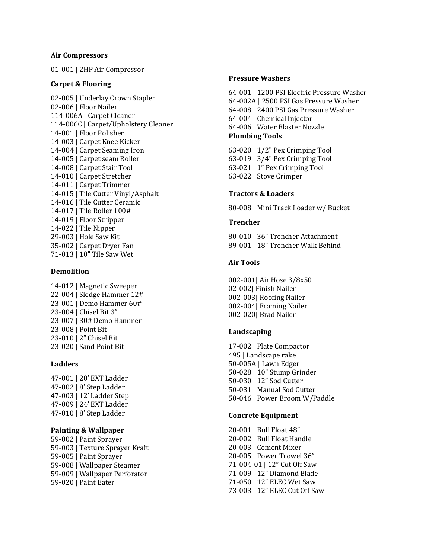### **Air Compressors**

01-001 | 2HP Air Compressor

## **Carpet & Flooring**

02-005 | Underlay Crown Stapler 02-006 | Floor Nailer 114-006A | Carpet Cleaner 114-006C | Carpet/Upholstery Cleaner 14-001 | Floor Polisher 14-003 | Carpet Knee Kicker 14-004 | Carpet Seaming Iron 14-005 | Carpet seam Roller 14-008 | Carpet Stair Tool 14-010 | Carpet Stretcher 14-011 | Carpet Trimmer 14-015 | Tile Cutter Vinyl/Asphalt 14-016 | Tile Cutter Ceramic 14-017 | Tile Roller 100# 14-019 | Floor Stripper 14-022 | Tile Nipper 29-003 | Hole Saw Kit 35-002 | Carpet Dryer Fan 71-013 | 10" Tile Saw Wet

# **Demolition**

14-012 | Magnetic Sweeper 22-004 | Sledge Hammer 12# 23-001 | Demo Hammer 60# 23-004 | Chisel Bit 3" 23-007 | 30# Demo Hammer 23-008 | Point Bit 23-010 | 2" Chisel Bit 23-020 | Sand Point Bit

# **Ladders**

47-001 | 20' EXT Ladder 47-002 | 8' Step Ladder 47-003 | 12' Ladder Step 47-009 | 24' EXT Ladder 47-010 | 8' Step Ladder

# **Painting & Wallpaper**

59-002 | Paint Sprayer 59-003 | Texture Sprayer Kraft 59-005 | Paint Sprayer 59-008 | Wallpaper Steamer 59-009 | Wallpaper Perforator 59-020 | Paint Eater

### **Pressure Washers**

64-001 | 1200 PSI Electric Pressure Washer 64-002A | 2500 PSI Gas Pressure Washer 64-008 | 2400 PSI Gas Pressure Washer 64-004 | Chemical Injector 64-006 | Water Blaster Nozzle **Plumbing Tools**

63-020 | 1/2" Pex Crimping Tool 63-019 | 3/4" Pex Crimping Tool 63-021 | 1" Pex Crimping Tool 63-022 | Stove Crimper

# **Tractors & Loaders**

80-008 | Mini Track Loader w/ Bucket

## **Trencher**

80-010 | 36" Trencher Attachment 89-001 | 18" Trencher Walk Behind

## **Air Tools**

002-001| Air Hose 3/8x50 02-002| Finish Nailer 002-003| Roofing Nailer 002-004| Framing Nailer 002-020| Brad Nailer

# **Landscaping**

17-002 | Plate Compactor 495 | Landscape rake 50-005A | Lawn Edger 50-028 | 10" Stump Grinder 50-030 | 12" Sod Cutter 50-031 | Manual Sod Cutter 50-046 | Power Broom W/Paddle

### **Concrete Equipment**

20-001 | Bull Float 48" 20-002 | Bull Float Handle 20-003 | Cement Mixer 20-005 | Power Trowel 36" 71-004-01 | 12" Cut Off Saw 71-009 | 12" Diamond Blade 71-050 | 12" ELEC Wet Saw 73-003 | 12" ELEC Cut Off Saw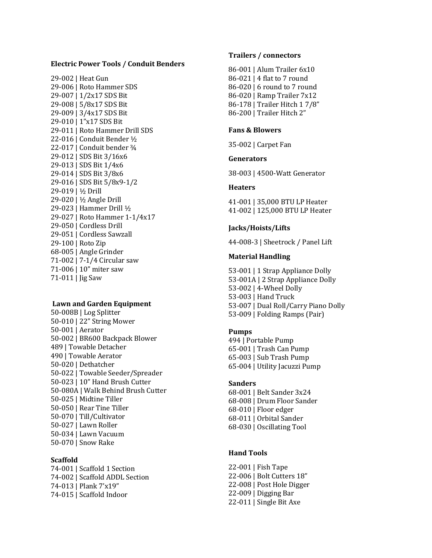### **Electric Power Tools / Conduit Benders**

29-002 | Heat Gun 29-006 | Roto Hammer SDS 29-007 | 1/2x17 SDS Bit 29-008 | 5/8x17 SDS Bit 29-009 | 3/4x17 SDS Bit 29-010 | 1"x17 SDS Bit 29-011 | Roto Hammer Drill SDS 22-016 | Conduit Bender ½ 22-017 | Conduit bender ¾ 29-012 | SDS Bit 3/16x6 29-013 | SDS Bit 1/4x6 29-014 | SDS Bit 3/8x6 29-016 | SDS Bit 5/8x9-1/2 29-019 | ½ Drill 29-020 | ½ Angle Drill 29-023 | Hammer Drill ½ 29-027 | Roto Hammer 1-1/4x17 29-050 | Cordless Drill 29-051 | Cordless Sawzall 29-100 | Roto Zip 68-005 | Angle Grinder 71-002 | 7-1/4 Circular saw 71-006 | 10" miter saw 71-011 | Jig Saw

### **Lawn and Garden Equipment**

50-008B | Log Splitter 50-010 | 22" String Mower 50-001 | Aerator 50-002 | BR600 Backpack Blower 489 | Towable Detacher 490 | Towable Aerator 50-020 | Dethatcher 50-022 | Towable Seeder/Spreader 50-023 | 10" Hand Brush Cutter 50-080A | Walk Behind Brush Cutter 50-025 | Midtine Tiller 50-050 | Rear Tine Tiller 50-070 | Till/Cultivator 50-027 | Lawn Roller 50-034 | Lawn Vacuum 50-070 | Snow Rake

#### **Scaffold**

74-001 | Scaffold 1 Section 74-002 | Scaffold ADDL Section 74-013 | Plank 7'x19" 74-015 | Scaffold Indoor

#### **Trailers / connectors**

86-001 | Alum Trailer 6x10 86-021 | 4 flat to 7 round 86-020 | 6 round to 7 round 86-020 | Ramp Trailer 7x12 86-178 | Trailer Hitch 1 7/8" 86-200 | Trailer Hitch 2"

### **Fans & Blowers**

35-002 | Carpet Fan

### **Generators**

38-003 | 4500-Watt Generator

#### **Heaters**

41-001 | 35,000 BTU LP Heater 41-002 | 125,000 BTU LP Heater

### **Jacks/Hoists/Lifts**

44-008-3 | Sheetrock / Panel Lift

#### **Material Handling**

53-001 | 1 Strap Appliance Dolly 53-001A | 2 Strap Appliance Dolly 53-002 | 4-Wheel Dolly 53-003 | Hand Truck 53-007 | Dual Roll/Carry Piano Dolly 53-009 | Folding Ramps (Pair)

# **Pumps**

494 | Portable Pump 65-001 | Trash Can Pump 65-003 | Sub Trash Pump 65-004 | Utility Jacuzzi Pump

#### **Sanders**

68-001 | Belt Sander 3x24 68-008 | Drum Floor Sander 68-010 | Floor edger 68-011 | Orbital Sander 68-030 | Oscillating Tool

# **Hand Tools**

22-001 | Fish Tape 22-006 | Bolt Cutters 18" 22-008 | Post Hole Digger 22-009 | Digging Bar 22-011 | Single Bit Axe